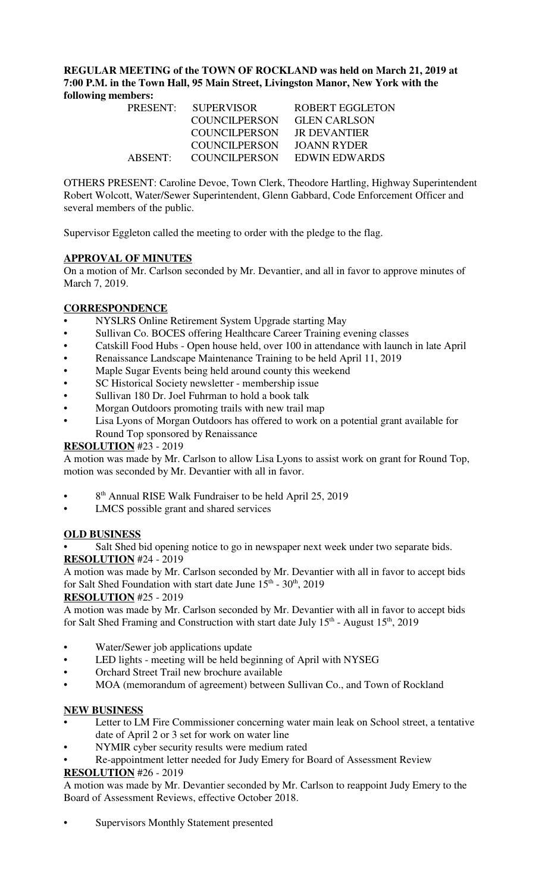**REGULAR MEETING of the TOWN OF ROCKLAND was held on March 21, 2019 at 7:00 P.M. in the Town Hall, 95 Main Street, Livingston Manor, New York with the following members:** 

| PRESENT: | <b>SUPERVISOR</b>    | <b>ROBERT EGGLETON</b> |
|----------|----------------------|------------------------|
|          | COUNCILPERSON        | <b>GLEN CARLSON</b>    |
|          | <b>COUNCILPERSON</b> | JR DEVANTIER           |
|          | COUNCILPERSON        | JOANN RYDER            |
| ABSENT:  | <b>COUNCILPERSON</b> | EDWIN EDWARDS          |

OTHERS PRESENT: Caroline Devoe, Town Clerk, Theodore Hartling, Highway Superintendent Robert Wolcott, Water/Sewer Superintendent, Glenn Gabbard, Code Enforcement Officer and several members of the public.

Supervisor Eggleton called the meeting to order with the pledge to the flag.

# **APPROVAL OF MINUTES**

On a motion of Mr. Carlson seconded by Mr. Devantier, and all in favor to approve minutes of March 7, 2019.

# **CORRESPONDENCE**

- NYSLRS Online Retirement System Upgrade starting May
- Sullivan Co. BOCES offering Healthcare Career Training evening classes
- Catskill Food Hubs Open house held, over 100 in attendance with launch in late April
- Renaissance Landscape Maintenance Training to be held April 11, 2019
- Maple Sugar Events being held around county this weekend
- SC Historical Society newsletter membership issue
- Sullivan 180 Dr. Joel Fuhrman to hold a book talk
- Morgan Outdoors promoting trails with new trail map
- Lisa Lyons of Morgan Outdoors has offered to work on a potential grant available for Round Top sponsored by Renaissance

### **RESOLUTION** #23 - 2019

A motion was made by Mr. Carlson to allow Lisa Lyons to assist work on grant for Round Top, motion was seconded by Mr. Devantier with all in favor.

- 8<sup>th</sup> Annual RISE Walk Fundraiser to be held April 25, 2019
- LMCS possible grant and shared services

### **OLD BUSINESS**

Salt Shed bid opening notice to go in newspaper next week under two separate bids. **RESOLUTION** #24 - 2019

A motion was made by Mr. Carlson seconded by Mr. Devantier with all in favor to accept bids for Salt Shed Foundation with start date June  $15<sup>th</sup>$  -  $30<sup>th</sup>$ , 2019

### **RESOLUTION** #25 - 2019

A motion was made by Mr. Carlson seconded by Mr. Devantier with all in favor to accept bids for Salt Shed Framing and Construction with start date July  $15<sup>th</sup>$  - August  $15<sup>th</sup>$ , 2019

- Water/Sewer job applications update
- LED lights meeting will be held beginning of April with NYSEG
- Orchard Street Trail new brochure available
- MOA (memorandum of agreement) between Sullivan Co., and Town of Rockland

### **NEW BUSINESS**

- Letter to LM Fire Commissioner concerning water main leak on School street, a tentative date of April 2 or 3 set for work on water line
- NYMIR cyber security results were medium rated
- Re-appointment letter needed for Judy Emery for Board of Assessment Review

### **RESOLUTION** #26 - 2019

A motion was made by Mr. Devantier seconded by Mr. Carlson to reappoint Judy Emery to the Board of Assessment Reviews, effective October 2018.

Supervisors Monthly Statement presented